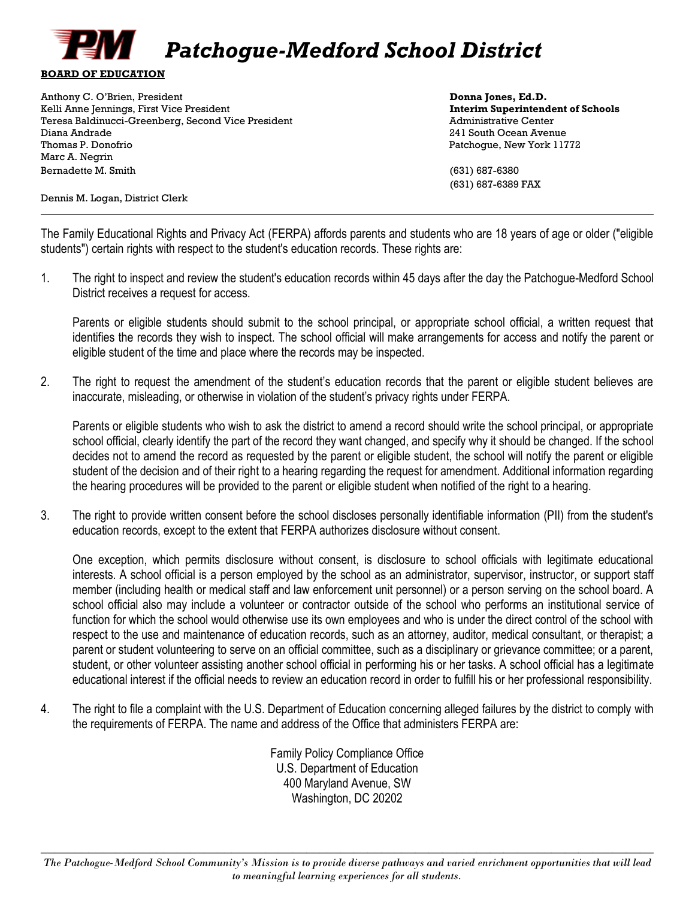

Anthony C. O'Brien, President **Donna Jones, Ed.D. Donna Jones, Ed.D. Donna Jones, Ed.D.** Kelli Anne Jennings, First Vice President **Interim Superintendent of Schools** Teresa Baldinucci-Greenberg, Second Vice President Administrative Center Administrative Center Diana Andrade 241 South Ocean Avenue Thomas P. Donofrio Patchogue, New York 11772 Marc A. Negrin Bernadette M. Smith (631) 687-6380

(631) 687-6389 FAX

Dennis M. Logan, District Clerk

The Family Educational Rights and Privacy Act (FERPA) affords parents and students who are 18 years of age or older ("eligible students") certain rights with respect to the student's education records. These rights are:

1. The right to inspect and review the student's education records within 45 days after the day the Patchogue-Medford School District receives a request for access.

Parents or eligible students should submit to the school principal, or appropriate school official, a written request that identifies the records they wish to inspect. The school official will make arrangements for access and notify the parent or eligible student of the time and place where the records may be inspected.

2. The right to request the amendment of the student's education records that the parent or eligible student believes are inaccurate, misleading, or otherwise in violation of the student's privacy rights under FERPA.

Parents or eligible students who wish to ask the district to amend a record should write the school principal, or appropriate school official, clearly identify the part of the record they want changed, and specify why it should be changed. If the school decides not to amend the record as requested by the parent or eligible student, the school will notify the parent or eligible student of the decision and of their right to a hearing regarding the request for amendment. Additional information regarding the hearing procedures will be provided to the parent or eligible student when notified of the right to a hearing.

3. The right to provide written consent before the school discloses personally identifiable information (PII) from the student's education records, except to the extent that FERPA authorizes disclosure without consent.

One exception, which permits disclosure without consent, is disclosure to school officials with legitimate educational interests. A school official is a person employed by the school as an administrator, supervisor, instructor, or support staff member (including health or medical staff and law enforcement unit personnel) or a person serving on the school board. A school official also may include a volunteer or contractor outside of the school who performs an institutional service of function for which the school would otherwise use its own employees and who is under the direct control of the school with respect to the use and maintenance of education records, such as an attorney, auditor, medical consultant, or therapist; a parent or student volunteering to serve on an official committee, such as a disciplinary or grievance committee; or a parent, student, or other volunteer assisting another school official in performing his or her tasks. A school official has a legitimate educational interest if the official needs to review an education record in order to fulfill his or her professional responsibility.

4. The right to file a complaint with the U.S. Department of Education concerning alleged failures by the district to comply with the requirements of FERPA. The name and address of the Office that administers FERPA are:

> Family Policy Compliance Office U.S. Department of Education 400 Maryland Avenue, SW Washington, DC 20202